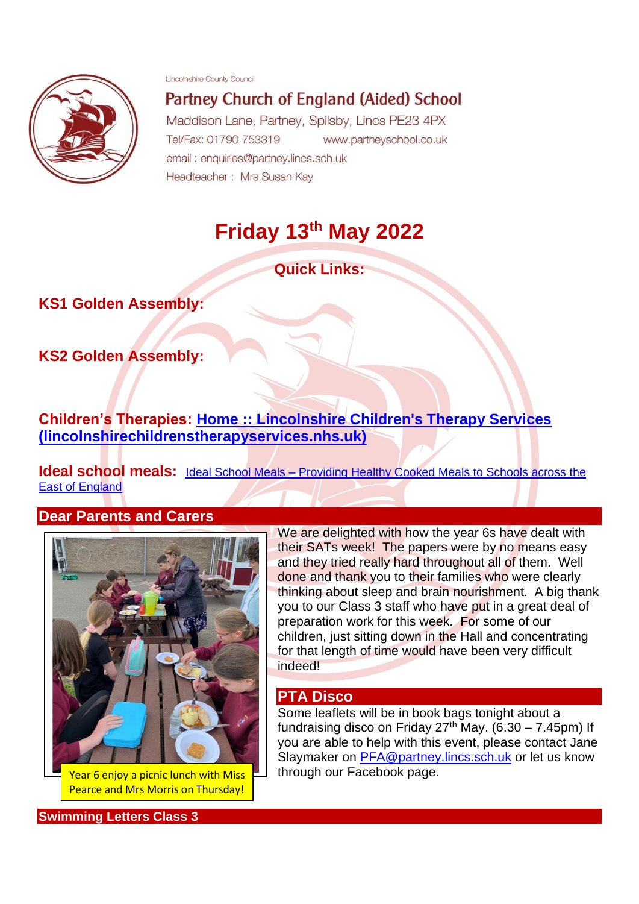Lincolnshire County Council



Partney Church of England (Aided) School Maddison Lane, Partney, Spilsby, Lincs PE23 4PX

Tel/Fax: 01790 753319 www.partneyschool.co.uk email: enquiries@partney.lincs.sch.uk Headteacher: Mrs Susan Kay

# **Friday 13th May 2022**

**Quick Links:**

**KS1 Golden Assembly:** 

**KS2 Golden Assembly:** 

**Children's Therapies: [Home :: Lincolnshire Children's Therapy Services](https://www.lincolnshirechildrenstherapyservices.nhs.uk/?msclkid=be2a0f81c78b11ec8d496d114fcf4740)  [\(lincolnshirechildrenstherapyservices.nhs.uk\)](https://www.lincolnshirechildrenstherapyservices.nhs.uk/?msclkid=be2a0f81c78b11ec8d496d114fcf4740)**

**Ideal school meals:** Ideal School Meals – Providing Healthy Cooked Meals to Schools across the [East of England](http://www.idealschoolmeals.co.uk/?ideal)

#### **Dear Parents and Carers**



Year 6 enjoy a picnic lunch with Miss Pearce and Mrs Morris on Thursday!

**Swimming Letters Class 3**

We are delighted with how the year 6s have dealt with their SATs week! The papers were by no means easy and they tried really hard throughout all of them. Well done and thank you to their families who were clearly thinking about sleep and brain nourishment. A big thank you to our Class 3 staff who have put in a great deal of preparation work for this week. For some of our children, just sitting down in the Hall and concentrating for that length of time would have been very difficult indeed!

#### **PTA Disco**

Some leaflets will be in book bags tonight about a fundraising disco on Friday  $27<sup>th</sup>$  May. (6.30 – 7.45pm) If you are able to help with this event, please contact Jane Slaymaker on [PFA@partney.lincs.sch.uk](mailto:PFA@partney.lincs.sch.uk) or let us know through our Facebook page.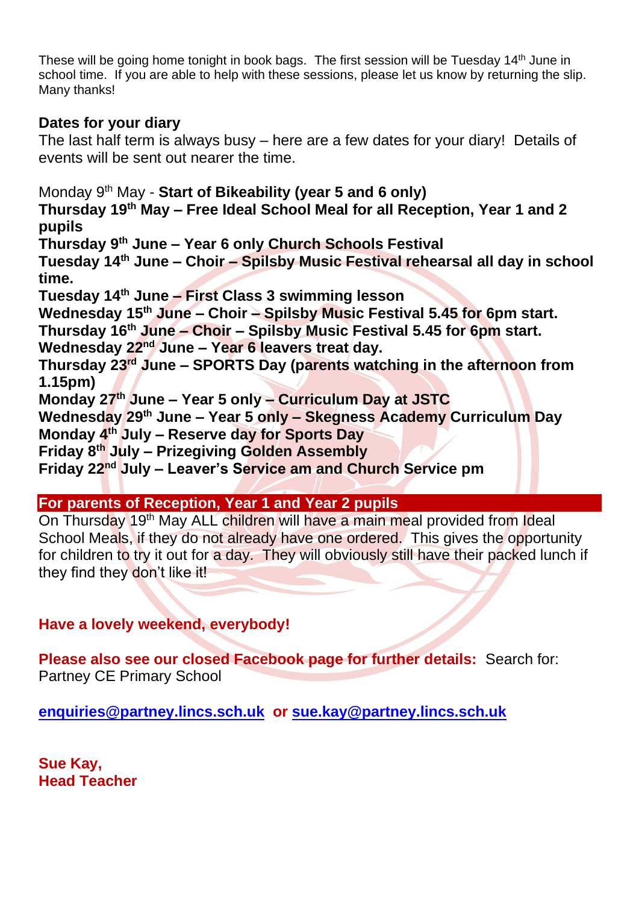These will be going home tonight in book bags. The first session will be Tuesday 14<sup>th</sup> June in school time. If you are able to help with these sessions, please let us know by returning the slip. Many thanks!

## **Dates for your diary**

The last half term is always busy – here are a few dates for your diary! Details of events will be sent out nearer the time.

Monday 9th May - **Start of Bikeability (year 5 and 6 only) Thursday 19th May – Free Ideal School Meal for all Reception, Year 1 and 2 pupils Thursday 9th June – Year 6 only Church Schools Festival Tuesday 14th June – Choir – Spilsby Music Festival rehearsal all day in school time. Tuesday 14th June – First Class 3 swimming lesson Wednesday 15th June – Choir – Spilsby Music Festival 5.45 for 6pm start. Thursday 16th June – Choir – Spilsby Music Festival 5.45 for 6pm start. Wednesday 22nd June – Year 6 leavers treat day. Thursday 23rd June – SPORTS Day (parents watching in the afternoon from 1.15pm) Monday 27th June – Year 5 only – Curriculum Day at JSTC Wednesday 29th June – Year 5 only – Skegness Academy Curriculum Day Monday 4th July – Reserve day for Sports Day Friday 8th July – Prizegiving Golden Assembly Friday 22nd July – Leaver's Service am and Church Service pm**

### **For parents of Reception, Year 1 and Year 2 pupils**

On Thursday 19<sup>th</sup> May ALL children will have a main meal provided from Ideal School Meals, if they do not already have one ordered. This gives the opportunity for children to try it out for a day. They will obviously still have their packed lunch if they find they don't like it!

# **Have a lovely weekend, everybody!**

**Please also see our closed Facebook page for further details:** Search for: Partney CE Primary School

**[enquiries@partney.lincs.sch.uk](mailto:enquiries@partney.lincs.sch.uk) or [sue.kay@partney.lincs.sch.uk](mailto:sue.kay@partney.lincs.sch.uk)**

**Sue Kay, Head Teacher**